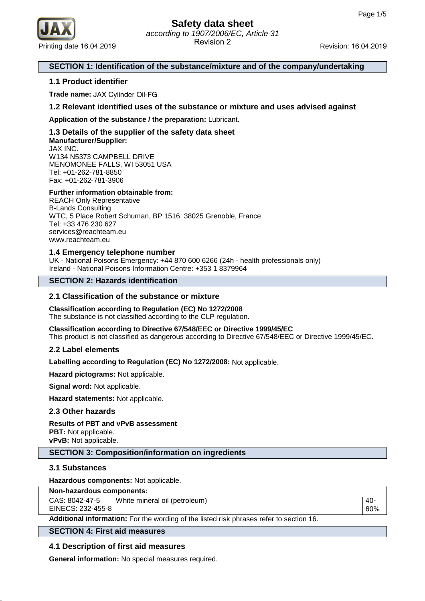

### **SECTION 1: Identification of the substance/mixture and of the company/undertaking**

### **1.1 Product identifier**

**Trade name:** JAX Cylinder Oil-FG

### **1.2 Relevant identified uses of the substance or mixture and uses advised against**

**Application of the substance / the preparation:** Lubricant.

### **1.3 Details of the supplier of the safety data sheet Manufacturer/Supplier:** JAX INC.

W134 N5373 CAMPBELL DRIVE MENOMONEE FALLS, WI 53051 USA Tel: +01-262-781-8850 Fax: +01-262-781-3906

### **Further information obtainable from:**

REACH Only Representative B-Lands Consulting WTC, 5 Place Robert Schuman, BP 1516, 38025 Grenoble, France Tel: +33 476 230 627 services@reachteam.eu www.reachteam.eu

### **1.4 Emergency telephone number**

UK - National Poisons Emergency: +44 870 600 6266 (24h - health professionals only) Ireland - National Poisons Information Centre: +353 1 8379964

### **SECTION 2: Hazards identification**

### **2.1 Classification of the substance or mixture**

# **Classification according to Regulation (EC) No 1272/2008**

The substance is not classified according to the CLP regulation.

**Classification according to Directive 67/548/EEC or Directive 1999/45/EC** This product is not classified as dangerous according to Directive 67/548/EEC or Directive 1999/45/EC.

### **2.2 Label elements**

**Labelling according to Regulation (EC) No 1272/2008:** Not applicable.

**Hazard pictograms:** Not applicable.

**Signal word:** Not applicable.

**Hazard statements:** Not applicable.

### **2.3 Other hazards**

# **Results of PBT and vPvB assessment**

**PBT:** Not applicable. **vPvB:** Not applicable.

# **SECTION 3: Composition/information on ingredients**

# **3.1 Substances**

**Hazardous components:** Not applicable.

| Non-hazardous components:                                                               |                               |     |  |
|-----------------------------------------------------------------------------------------|-------------------------------|-----|--|
| CAS: 8042-47-5                                                                          | White mineral oil (petroleum) | -40 |  |
| EINECS: 232-455-8                                                                       |                               | 60% |  |
| Additional information: For the wording of the listed risk phrases refer to section 16. |                               |     |  |
|                                                                                         |                               |     |  |

### **SECTION 4: First aid measures**

# **4.1 Description of first aid measures**

**General information:** No special measures required.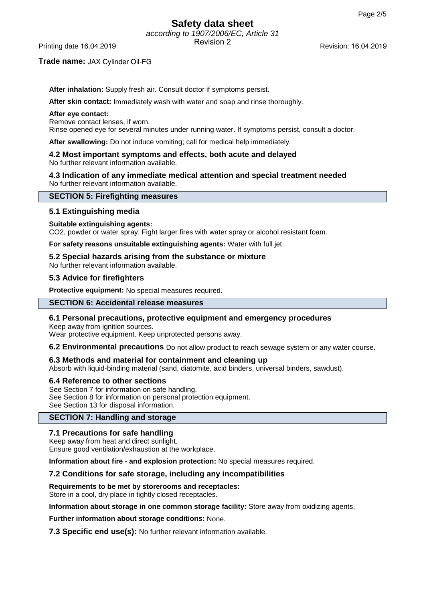# **Safety data sheet** according to 1907/2006/EC, Article 31

Revision 2 Printing date 16.04.2019 Revision: 16.04.2019

### **Trade name:** JAX Cylinder Oil-FG

**After inhalation:** Supply fresh air. Consult doctor if symptoms persist.

**After skin contact:** Immediately wash with water and soap and rinse thoroughly.

#### **After eye contact:**

Remove contact lenses, if worn.

Rinse opened eye for several minutes under running water. If symptoms persist, consult a doctor.

**After swallowing:** Do not induce vomiting; call for medical help immediately.

#### **4.2 Most important symptoms and effects, both acute and delayed** No further relevant information available.

**4.3 Indication of any immediate medical attention and special treatment needed** No further relevant information available.

### **SECTION 5: Firefighting measures**

# **5.1 Extinguishing media**

### **Suitable extinguishing agents:**

CO2, powder or water spray. Fight larger fires with water spray or alcohol resistant foam.

**For safety reasons unsuitable extinguishing agents:** Water with full jet

# **5.2 Special hazards arising from the substance or mixture**

No further relevant information available.

### **5.3 Advice for firefighters**

**Protective equipment:** No special measures required.

# **SECTION 6: Accidental release measures**

# **6.1 Personal precautions, protective equipment and emergency procedures**

Keep away from ignition sources. Wear protective equipment. Keep unprotected persons away.

**6.2 Environmental precautions** Do not allow product to reach sewage system or any water course.

# **6.3 Methods and material for containment and cleaning up**

Absorb with liquid-binding material (sand, diatomite, acid binders, universal binders, sawdust).

# **6.4 Reference to other sections**

See Section 7 for information on safe handling. See Section 8 for information on personal protection equipment. See Section 13 for disposal information.

# **SECTION 7: Handling and storage**

# **7.1 Precautions for safe handling**

Keep away from heat and direct sunlight.

Ensure good ventilation/exhaustion at the workplace.

**Information about fire - and explosion protection:** No special measures required.

# **7.2 Conditions for safe storage, including any incompatibilities**

**Requirements to be met by storerooms and receptacles:**

Store in a cool, dry place in tightly closed receptacles.

**Information about storage in one common storage facility:** Store away from oxidizing agents.

**Further information about storage conditions:** None.

**7.3 Specific end use(s):** No further relevant information available.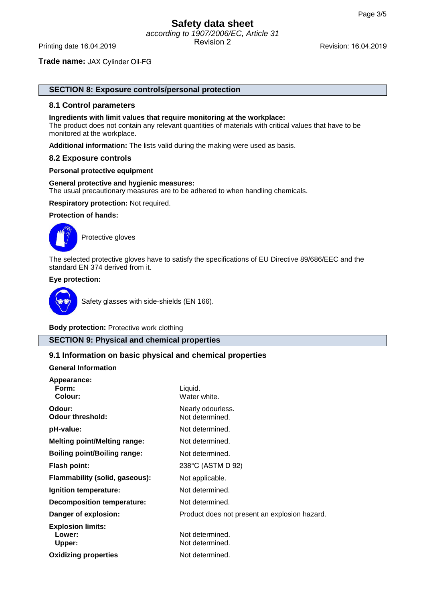#### **Trade name:** JAX Cylinder Oil-FG

# **SECTION 8: Exposure controls/personal protection**

#### **8.1 Control parameters**

#### **Ingredients with limit values that require monitoring at the workplace:**

The product does not contain any relevant quantities of materials with critical values that have to be monitored at the workplace.

**Additional information:** The lists valid during the making were used as basis.

#### **8.2 Exposure controls**

#### **Personal protective equipment**

#### **General protective and hygienic measures:**

The usual precautionary measures are to be adhered to when handling chemicals.

**Respiratory protection:** Not required.

### **Protection of hands:**



Protective gloves

The selected protective gloves have to satisfy the specifications of EU Directive 89/686/EEC and the standard EN 374 derived from it.

### **Eye protection:**



Safety glasses with side-shields (EN 166).

**Body protection:** Protective work clothing

# **SECTION 9: Physical and chemical properties**

### **9.1 Information on basic physical and chemical properties**

### **General Information**

| Appearance:<br>Form:<br>Colour:              | Liquid.<br>Water white.                       |
|----------------------------------------------|-----------------------------------------------|
| Odour:<br><b>Odour threshold:</b>            | Nearly odourless.<br>Not determined.          |
| pH-value:                                    | Not determined.                               |
| <b>Melting point/Melting range:</b>          | Not determined.                               |
| <b>Boiling point/Boiling range:</b>          | Not determined.                               |
| <b>Flash point:</b>                          | 238°C (ASTM D 92)                             |
| Flammability (solid, gaseous):               | Not applicable.                               |
| Ignition temperature:                        | Not determined.                               |
| Decomposition temperature:                   | Not determined.                               |
| Danger of explosion:                         | Product does not present an explosion hazard. |
| <b>Explosion limits:</b><br>Lower:<br>Upper: | Not determined.<br>Not determined.            |
| <b>Oxidizing properties</b>                  | Not determined.                               |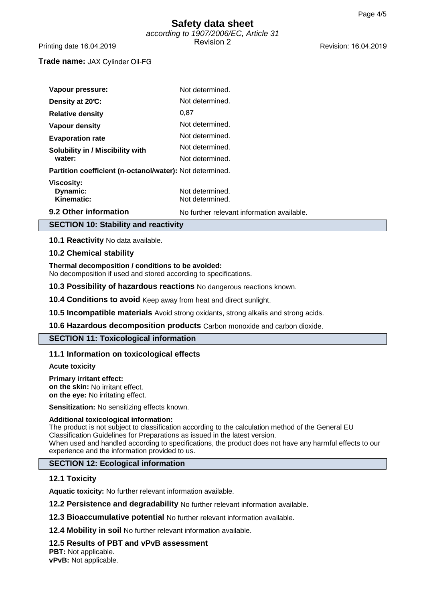### **Trade name:** JAX Cylinder Oil-FG

| Vapour pressure:                                         | Not determined.                            |
|----------------------------------------------------------|--------------------------------------------|
| Density at 20°C:                                         | Not determined.                            |
| <b>Relative density</b>                                  | 0.87                                       |
| Vapour density                                           | Not determined.                            |
| <b>Evaporation rate</b>                                  | Not determined.                            |
| Solubility in / Miscibility with                         | Not determined.                            |
| water:                                                   | Not determined.                            |
| Partition coefficient (n-octanol/water): Not determined. |                                            |
| <b>Viscosity:</b><br>Dynamic:<br>Kinematic:              | Not determined.<br>Not determined.         |
| 9.2 Other information                                    | No further relevant information available. |

# **SECTION 10: Stability and reactivity**

**10.1 Reactivity** No data available.

### **10.2 Chemical stability**

**Thermal decomposition / conditions to be avoided:**

No decomposition if used and stored according to specifications.

**10.3 Possibility of hazardous reactions** No dangerous reactions known.

**10.4 Conditions to avoid** Keep away from heat and direct sunlight.

**10.5 Incompatible materials** Avoid strong oxidants, strong alkalis and strong acids.

**10.6 Hazardous decomposition products** Carbon monoxide and carbon dioxide.

### **SECTION 11: Toxicological information**

# **11.1 Information on toxicological effects**

**Acute toxicity**

#### **Primary irritant effect:**

**on the skin:** No irritant effect. **on the eye:** No irritating effect.

**Sensitization:** No sensitizing effects known.

### **Additional toxicological information:**

The product is not subject to classification according to the calculation method of the General EU Classification Guidelines for Preparations as issued in the latest version. When used and handled according to specifications, the product does not have any harmful effects to our experience and the information provided to us.

# **SECTION 12: Ecological information**

### **12.1 Toxicity**

**Aquatic toxicity:** No further relevant information available.

**12.2 Persistence and degradability** No further relevant information available.

**12.3 Bioaccumulative potential** No further relevant information available.

**12.4 Mobility in soil** No further relevant information available.

# **12.5 Results of PBT and vPvB assessment**

**PBT:** Not applicable. **vPvB:** Not applicable.